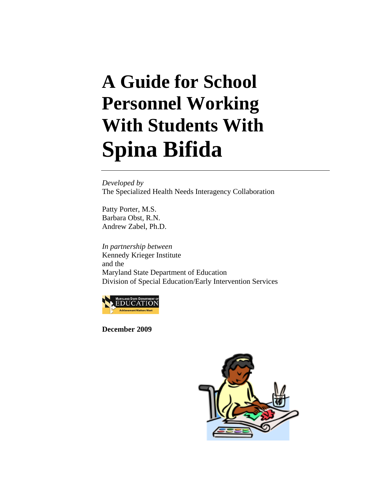# **A Guide for School Personnel Working With Students With Spina Bifida**

*Developed by*  The Specialized Health Needs Interagency Collaboration

Patty Porter, M.S. Barbara Obst, R.N. Andrew Zabel, Ph.D.

*In partnership between*  Kennedy Krieger Institute and the Maryland State Department of Education Division of Special Education/Early Intervention Services



**December 2009** 

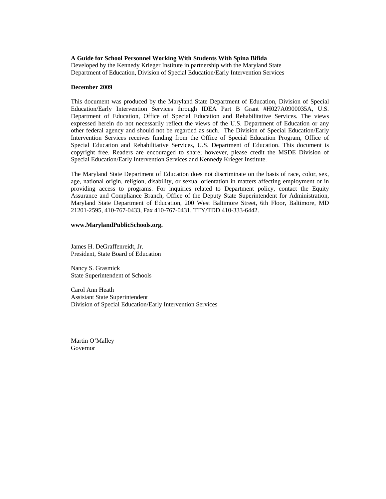#### **A Guide for School Personnel Working With Students With Spina Bifida**

Developed by the Kennedy Krieger Institute in partnership with the Maryland State Department of Education, Division of Special Education/Early Intervention Services

#### **December 2009**

This document was produced by the Maryland State Department of Education, Division of Special Education/Early Intervention Services through IDEA Part B Grant #H027A0900035A, U.S. Department of Education, Office of Special Education and Rehabilitative Services. The views expressed herein do not necessarily reflect the views of the U.S. Department of Education or any other federal agency and should not be regarded as such. The Division of Special Education/Early Intervention Services receives funding from the Office of Special Education Program, Office of Special Education and Rehabilitative Services, U.S. Department of Education. This document is copyright free. Readers are encouraged to share; however, please credit the MSDE Division of Special Education/Early Intervention Services and Kennedy Krieger Institute.

The Maryland State Department of Education does not discriminate on the basis of race, color, sex, age, national origin, religion, disability, or sexual orientation in matters affecting employment or in providing access to programs. For inquiries related to Department policy, contact the Equity Assurance and Compliance Branch, Office of the Deputy State Superintendent for Administration, Maryland State Department of Education, 200 West Baltimore Street, 6th Floor, Baltimore, MD 21201-2595, 410-767-0433, Fax 410-767-0431, TTY/TDD 410-333-6442.

#### **www.MarylandPublicSchools.org.**

James H. DeGraffenreidt, Jr. President, State Board of Education

Nancy S. Grasmick State Superintendent of Schools

Carol Ann Heath Assistant State Superintendent Division of Special Education/Early Intervention Services

Martin O'Malley Governor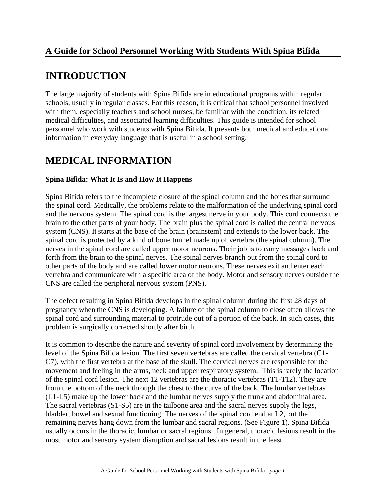## **A Guide for School Personnel Working With Students With Spina Bifida**

# **INTRODUCTION**

The large majority of students with Spina Bifida are in educational programs within regular schools, usually in regular classes. For this reason, it is critical that school personnel involved with them, especially teachers and school nurses, be familiar with the condition, its related medical difficulties, and associated learning difficulties. This guide is intended for school personnel who work with students with Spina Bifida. It presents both medical and educational information in everyday language that is useful in a school setting.

# **MEDICAL INFORMATION**

#### **Spina Bifida: What It Is and How It Happens**

Spina Bifida refers to the incomplete closure of the spinal column and the bones that surround the spinal cord. Medically, the problems relate to the malformation of the underlying spinal cord and the nervous system. The spinal cord is the largest nerve in your body. This cord connects the brain to the other parts of your body. The brain plus the spinal cord is called the central nervous system (CNS). It starts at the base of the brain (brainstem) and extends to the lower back. The spinal cord is protected by a kind of bone tunnel made up of vertebra (the spinal column). The nerves in the spinal cord are called upper motor neurons. Their job is to carry messages back and forth from the brain to the spinal nerves. The spinal nerves branch out from the spinal cord to other parts of the body and are called lower motor neurons. These nerves exit and enter each vertebra and communicate with a specific area of the body. Motor and sensory nerves outside the CNS are called the peripheral nervous system (PNS).

The defect resulting in Spina Bifida develops in the spinal column during the first 28 days of pregnancy when the CNS is developing. A failure of the spinal column to close often allows the spinal cord and surrounding material to protrude out of a portion of the back. In such cases, this problem is surgically corrected shortly after birth.

It is common to describe the nature and severity of spinal cord involvement by determining the level of the Spina Bifida lesion. The first seven vertebras are called the cervical vertebra (C1- C7), with the first vertebra at the base of the skull. The cervical nerves are responsible for the movement and feeling in the arms, neck and upper respiratory system. This is rarely the location of the spinal cord lesion. The next 12 vertebras are the thoracic vertebras (T1-T12). They are from the bottom of the neck through the chest to the curve of the back. The lumbar vertebras (L1-L5) make up the lower back and the lumbar nerves supply the trunk and abdominal area. The sacral vertebras (S1-S5) are in the tailbone area and the sacral nerves supply the legs, bladder, bowel and sexual functioning. The nerves of the spinal cord end at L2, but the remaining nerves hang down from the lumbar and sacral regions. (See Figure 1). Spina Bifida usually occurs in the thoracic, lumbar or sacral regions. In general, thoracic lesions result in the most motor and sensory system disruption and sacral lesions result in the least.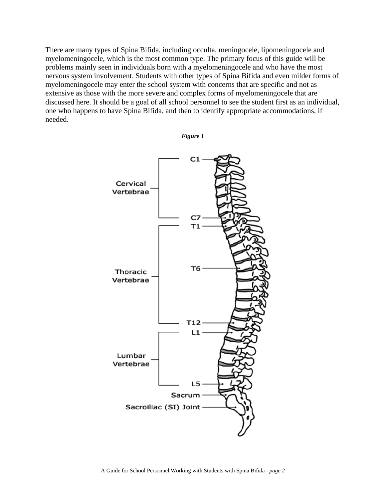There are many types of Spina Bifida, including occulta, meningocele, lipomeningocele and myelomeningocele, which is the most common type. The primary focus of this guide will be problems mainly seen in individuals born with a myelomeningocele and who have the most nervous system involvement. Students with other types of Spina Bifida and even milder forms of myelomeningocele may enter the school system with concerns that are specific and not as extensive as those with the more severe and complex forms of myelomeningocele that are discussed here. It should be a goal of all school personnel to see the student first as an individual, one who happens to have Spina Bifida, and then to identify appropriate accommodations, if needed.



*Figure 1*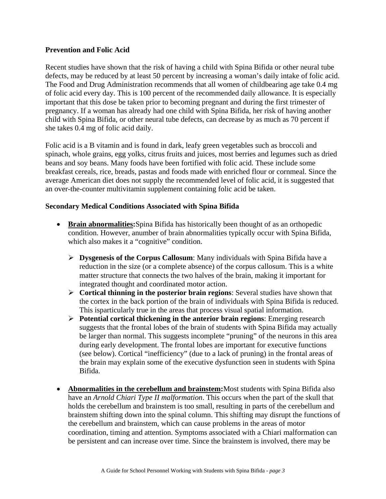#### **Prevention and Folic Acid**

Recent studies have shown that the risk of having a child with Spina Bifida or other neural tube defects, may be reduced by at least 50 percent by increasing a woman's daily intake of folic acid. The Food and Drug Administration recommends that all women of childbearing age take 0.4 mg of folic acid every day. This is 100 percent of the recommended daily allowance. It is especially important that this dose be taken prior to becoming pregnant and during the first trimester of pregnancy. If a woman has already had one child with Spina Bifida, her risk of having another child with Spina Bifida, or other neural tube defects, can decrease by as much as 70 percent if she takes 0.4 mg of folic acid daily.

Folic acid is a B vitamin and is found in dark, leafy green vegetables such as broccoli and spinach, whole grains, egg yolks, citrus fruits and juices, most berries and legumes such as dried beans and soy beans. Many foods have been fortified with folic acid. These include some breakfast cereals, rice, breads, pastas and foods made with enriched flour or cornmeal. Since the average American diet does not supply the recommended level of folic acid, it is suggested that an over-the-counter multivitamin supplement containing folic acid be taken.

#### **Secondary Medical Conditions Associated with Spina Bifida**

- **Brain abnormalities:** Spina Bifida has historically been thought of as an orthopedic condition. However, anumber of brain abnormalities typically occur with Spina Bifida, which also makes it a "cognitive" condition.
	- ¾ **Dysgenesis of the Corpus Callosum**: Many individuals with Spina Bifida have a reduction in the size (or a complete absence) of the corpus callosum. This is a white matter structure that connects the two halves of the brain, making it important for integrated thought and coordinated motor action.
	- ¾ **Cortical thinning in the posterior brain regions**: Several studies have shown that the cortex in the back portion of the brain of individuals with Spina Bifida is reduced. This isparticularly true in the areas that process visual spatial information.
	- ¾ **Potential cortical thickening in the anterior brain regions**: Emerging research suggests that the frontal lobes of the brain of students with Spina Bifida may actually be larger than normal. This suggests incomplete "pruning" of the neurons in this area during early development. The frontal lobes are important for executive functions (see below). Cortical "inefficiency" (due to a lack of pruning) in the frontal areas of the brain may explain some of the executive dysfunction seen in students with Spina Bifida.
- **Abnormalities in the cerebellum and brainstem:**Most students with Spina Bifida also have an *Arnold Chiari Type II malformation*. This occurs when the part of the skull that holds the cerebellum and brainstem is too small, resulting in parts of the cerebellum and brainstem shifting down into the spinal column. This shifting may disrupt the functions of the cerebellum and brainstem, which can cause problems in the areas of motor coordination, timing and attention. Symptoms associated with a Chiari malformation can be persistent and can increase over time. Since the brainstem is involved, there may be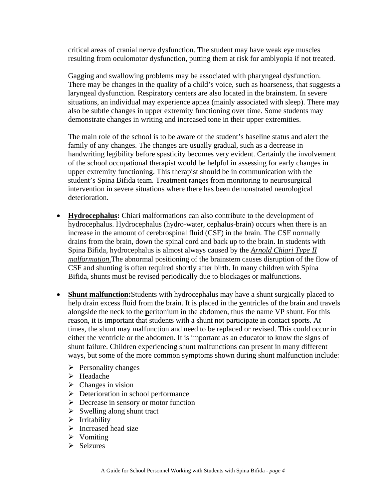critical areas of cranial nerve dysfunction. The student may have weak eye muscles resulting from oculomotor dysfunction, putting them at risk for amblyopia if not treated.

Gagging and swallowing problems may be associated with pharyngeal dysfunction. There may be changes in the quality of a child's voice, such as hoarseness, that suggests a laryngeal dysfunction. Respiratory centers are also located in the brainstem. In severe situations, an individual may experience apnea (mainly associated with sleep). There may also be subtle changes in upper extremity functioning over time. Some students may demonstrate changes in writing and increased tone in their upper extremities.

The main role of the school is to be aware of the student's baseline status and alert the family of any changes. The changes are usually gradual, such as a decrease in handwriting legibility before spasticity becomes very evident. Certainly the involvement of the school occupational therapist would be helpful in assessing for early changes in upper extremity functioning. This therapist should be in communication with the student's Spina Bifida team. Treatment ranges from monitoring to neurosurgical intervention in severe situations where there has been demonstrated neurological deterioration.

- **Hydrocephalus:** Chiari malformations can also contribute to the development of hydrocephalus. Hydrocephalus (hydro-water, cephalus-brain) occurs when there is an increase in the amount of cerebrospinal fluid (CSF) in the brain. The CSF normally drains from the brain, down the spinal cord and back up to the brain. In students with Spina Bifida, hydrocephalus is almost always caused by the *Arnold Chiari Type II malformation*.The abnormal positioning of the brainstem causes disruption of the flow of CSF and shunting is often required shortly after birth. In many children with Spina Bifida, shunts must be revised periodically due to blockages or malfunctions.
- **Shunt malfunction:**Students with hydrocephalus may have a shunt surgically placed to help drain excess fluid from the brain. It is placed in the **v**entricles of the brain and travels alongside the neck to the **p**eritonium in the abdomen, thus the name VP shunt. For this reason, it is important that students with a shunt not participate in contact sports. At times, the shunt may malfunction and need to be replaced or revised. This could occur in either the ventricle or the abdomen. It is important as an educator to know the signs of shunt failure. Children experiencing shunt malfunctions can present in many different ways, but some of the more common symptoms shown during shunt malfunction include:
	- $\triangleright$  Personality changes
	- ¾ Headache
	- $\triangleright$  Changes in vision
	- $\triangleright$  Deterioration in school performance
	- $\triangleright$  Decrease in sensory or motor function
	- $\triangleright$  Swelling along shunt tract
	- $\triangleright$  Irritability
	- $\triangleright$  Increased head size
	- $\triangleright$  Vomiting
	- $\triangleright$  Seizures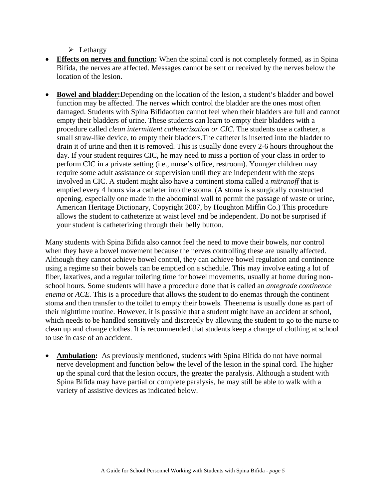$\triangleright$  Lethargy

- **Effects on nerves and function:** When the spinal cord is not completely formed, as in Spina Bifida, the nerves are affected. Messages cannot be sent or received by the nerves below the location of the lesion.
- **Bowel and bladder:**Depending on the location of the lesion, a student's bladder and bowel function may be affected. The nerves which control the bladder are the ones most often damaged. Students with Spina Bifidaoften cannot feel when their bladders are full and cannot empty their bladders of urine. These students can learn to empty their bladders with a procedure called *clean intermittent catheterization or CIC*. The students use a catheter, a small straw-like device, to empty their bladders.The catheter is inserted into the bladder to drain it of urine and then it is removed. This is usually done every 2-6 hours throughout the day. If your student requires CIC, he may need to miss a portion of your class in order to perform CIC in a private setting (i.e., nurse's office, restroom). Younger children may require some adult assistance or supervision until they are independent with the steps involved in CIC. A student might also have a continent stoma called a *mitranoff* that is emptied every 4 hours via a catheter into the stoma. (A stoma is a surgically constructed opening, especially one made in the abdominal wall to permit the passage of waste or urine, American Heritage Dictionary, Copyright 2007, by Houghton Miffin Co.) This procedure allows the student to catheterize at waist level and be independent. Do not be surprised if your student is catheterizing through their belly button.

Many students with Spina Bifida also cannot feel the need to move their bowels, nor control when they have a bowel movement because the nerves controlling these are usually affected. Although they cannot achieve bowel control, they can achieve bowel regulation and continence using a regime so their bowels can be emptied on a schedule. This may involve eating a lot of fiber, laxatives, and a regular toileting time for bowel movements, usually at home during nonschool hours. Some students will have a procedure done that is called an *antegrade continence enema* or *ACE.* This is a procedure that allows the student to do enemas through the continent stoma and then transfer to the toilet to empty their bowels. Theenema is usually done as part of their nighttime routine*.* However, it is possible that a student might have an accident at school, which needs to be handled sensitively and discreetly by allowing the student to go to the nurse to clean up and change clothes. It is recommended that students keep a change of clothing at school to use in case of an accident.

• **Ambulation:** As previously mentioned, students with Spina Bifida do not have normal nerve development and function below the level of the lesion in the spinal cord. The higher up the spinal cord that the lesion occurs, the greater the paralysis. Although a student with Spina Bifida may have partial or complete paralysis, he may still be able to walk with a variety of assistive devices as indicated below.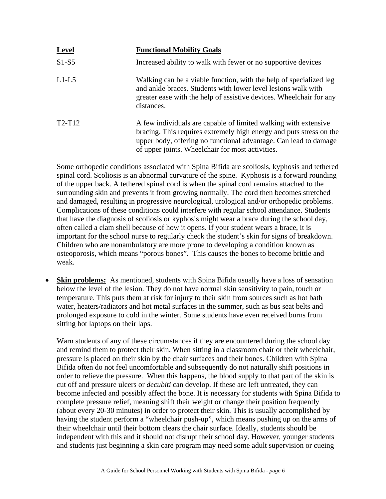| <b>Level</b> | <b>Functional Mobility Goals</b>                                                                                                                                                                                                                               |
|--------------|----------------------------------------------------------------------------------------------------------------------------------------------------------------------------------------------------------------------------------------------------------------|
| $S1-S5$      | Increased ability to walk with fewer or no supportive devices                                                                                                                                                                                                  |
| $L1-L5$      | Walking can be a viable function, with the help of specialized leg<br>and ankle braces. Students with lower level lesions walk with<br>greater ease with the help of assistive devices. Wheelchair for any<br>distances.                                       |
| $T2-T12$     | A few individuals are capable of limited walking with extensive<br>bracing. This requires extremely high energy and puts stress on the<br>upper body, offering no functional advantage. Can lead to damage<br>of upper joints. Wheelchair for most activities. |

Some orthopedic conditions associated with Spina Bifida are scoliosis, kyphosis and tethered spinal cord. Scoliosis is an abnormal curvature of the spine. Kyphosis is a forward rounding of the upper back. A tethered spinal cord is when the spinal cord remains attached to the surrounding skin and prevents it from growing normally. The cord then becomes stretched and damaged, resulting in progressive neurological, urological and/or orthopedic problems. Complications of these conditions could interfere with regular school attendance. Students that have the diagnosis of scoliosis or kyphosis might wear a brace during the school day, often called a clam shell because of how it opens. If your student wears a brace, it is important for the school nurse to regularly check the student's skin for signs of breakdown. Children who are nonambulatory are more prone to developing a condition known as osteoporosis, which means "porous bones". This causes the bones to become brittle and weak.

**Skin problems:** As mentioned, students with Spina Bifida usually have a loss of sensation below the level of the lesion. They do not have normal skin sensitivity to pain, touch or temperature. This puts them at risk for injury to their skin from sources such as hot bath water, heaters/radiators and hot metal surfaces in the summer, such as bus seat belts and prolonged exposure to cold in the winter. Some students have even received burns from sitting hot laptops on their laps.

Warn students of any of these circumstances if they are encountered during the school day and remind them to protect their skin. When sitting in a classroom chair or their wheelchair, pressure is placed on their skin by the chair surfaces and their bones. Children with Spina Bifida often do not feel uncomfortable and subsequently do not naturally shift positions in order to relieve the pressure. When this happens, the blood supply to that part of the skin is cut off and pressure ulcers or *decubiti* can develop. If these are left untreated, they can become infected and possibly affect the bone. It is necessary for students with Spina Bifida to complete pressure relief, meaning shift their weight or change their position frequently (about every 20-30 minutes) in order to protect their skin. This is usually accomplished by having the student perform a "wheelchair push-up", which means pushing up on the arms of their wheelchair until their bottom clears the chair surface. Ideally, students should be independent with this and it should not disrupt their school day. However, younger students and students just beginning a skin care program may need some adult supervision or cueing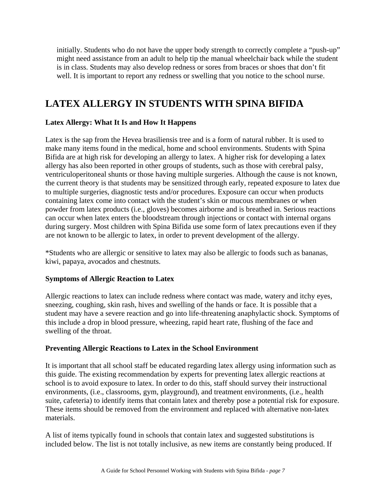initially. Students who do not have the upper body strength to correctly complete a "push-up" might need assistance from an adult to help tip the manual wheelchair back while the student is in class. Students may also develop redness or sores from braces or shoes that don't fit well. It is important to report any redness or swelling that you notice to the school nurse.

# **LATEX ALLERGY IN STUDENTS WITH SPINA BIFIDA**

#### **Latex Allergy: What It Is and How It Happens**

Latex is the sap from the Hevea brasiliensis tree and is a form of natural rubber. It is used to make many items found in the medical, home and school environments. Students with Spina Bifida are at high risk for developing an allergy to latex. A higher risk for developing a latex allergy has also been reported in other groups of students, such as those with cerebral palsy, ventriculoperitoneal shunts or those having multiple surgeries. Although the cause is not known, the current theory is that students may be sensitized through early, repeated exposure to latex due to multiple surgeries, diagnostic tests and/or procedures. Exposure can occur when products containing latex come into contact with the student's skin or mucous membranes or when powder from latex products (i.e., gloves) becomes airborne and is breathed in. Serious reactions can occur when latex enters the bloodstream through injections or contact with internal organs during surgery. Most children with Spina Bifida use some form of latex precautions even if they are not known to be allergic to latex, in order to prevent development of the allergy.

\*Students who are allergic or sensitive to latex may also be allergic to foods such as bananas, kiwi, papaya, avocados and chestnuts.

#### **Symptoms of Allergic Reaction to Latex**

Allergic reactions to latex can include redness where contact was made, watery and itchy eyes, sneezing, coughing, skin rash, hives and swelling of the hands or face. It is possible that a student may have a severe reaction and go into life-threatening anaphylactic shock. Symptoms of this include a drop in blood pressure, wheezing, rapid heart rate, flushing of the face and swelling of the throat.

#### **Preventing Allergic Reactions to Latex in the School Environment**

It is important that all school staff be educated regarding latex allergy using information such as this guide. The existing recommendation by experts for preventing latex allergic reactions at school is to avoid exposure to latex. In order to do this, staff should survey their instructional environments, (i.e., classrooms, gym, playground), and treatment environments, (i.e., health suite, cafeteria) to identify items that contain latex and thereby pose a potential risk for exposure. These items should be removed from the environment and replaced with alternative non-latex materials.

A list of items typically found in schools that contain latex and suggested substitutions is included below. The list is not totally inclusive, as new items are constantly being produced. If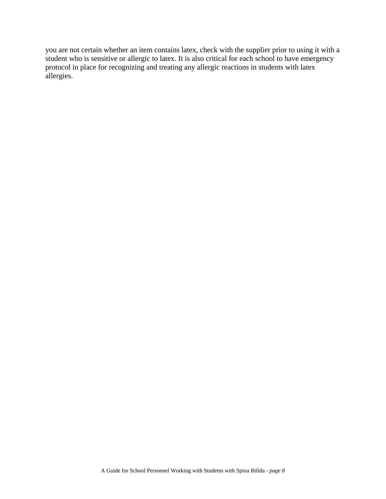you are not certain whether an item contains latex, check with the supplier prior to using it with a student who is sensitive or allergic to latex. It is also critical for each school to have emergency protocol in place for recognizing and treating any allergic reactions in students with latex allergies.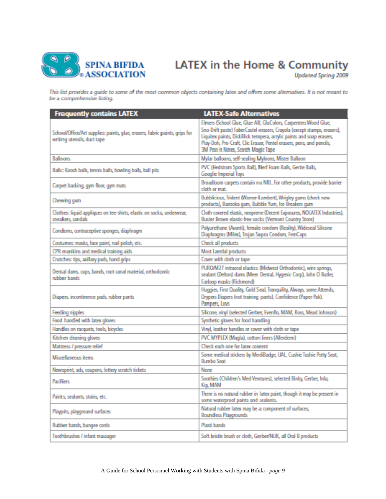

# LATEX in the Home & Community

**Updated Spring 2009** 

This list provides a guide to some of the most common objects containing latex and offers some alternatives. It is not meant to be a comprehensive listing.

| <b>Frequently contains LATEX</b>                                                                           | <b>LATEX-Safe Alternatives</b>                                                                                                                                                                                                                                                                                                     |
|------------------------------------------------------------------------------------------------------------|------------------------------------------------------------------------------------------------------------------------------------------------------------------------------------------------------------------------------------------------------------------------------------------------------------------------------------|
| School/Office/Art supplies: paints, glue, erasers, fabric paints, grips for<br>writing utensils, duct tape | Elmers (School Glue, Glue-All), GluColors, Carpenters Wood Glue,<br>Sno-Drift paste) FaberCastel erasers, Crayola (except stamps, erasers),<br>Liquitex paints, DickBlick tempera, acrylic paints and soap erasers,<br>Play-Doh, Pro-Craft, Clic Eraser, Pentel erasers, pens, and pencils,<br>3M Post-it Notes, Scotch Magic Tape |
| <b>Balloons</b>                                                                                            | Mylar balloons, self-sealing Myloons, Mister Balloon                                                                                                                                                                                                                                                                               |
| Balls: Koosh balls, tennis balls, bowling balls, ball pits                                                 | PVC (Hedstrom Sports Ball), Nerf Foam Balls, Gertie Balls,<br><b>Googlie Imperial Toys</b>                                                                                                                                                                                                                                         |
| Carpet backing, gym floor, gym mats                                                                        | Broadloom carpets contain no NRL. For other products, provide barrier<br>cloth or mat.                                                                                                                                                                                                                                             |
| Chewing gum                                                                                                | Bubblicious, Trident (Warner-Lambert), Wrigley gums (check new<br>products), Bazooka gum, Bubble Yum, Ice Breakers qum                                                                                                                                                                                                             |
| Clothes: liquid appliques on tee-shirts, elastic on socks, underwear,<br>sneakers, sandals                 | Cloth-covered elastic, neoprene (Decent Exposures, NOLATEX Industries),<br>Buster Brown elastic-free socks (Vermont Country Store)                                                                                                                                                                                                 |
| Condoms, contraceptive sponges, diaphragm                                                                  | Polyurethane (Avanti), female condom (Reality), Wideseal Silicone<br>Diaphragms (Milex), Trojan Supra Condom, FemCaps                                                                                                                                                                                                              |
| Costumes: masks, face paint, nail polish, etc.                                                             | Check all products                                                                                                                                                                                                                                                                                                                 |
| CPR manikins and medical training aids                                                                     | Most Laerdal products                                                                                                                                                                                                                                                                                                              |
| Crutches: tips, axillary pads, hand grips                                                                  | Cover with doth or tape                                                                                                                                                                                                                                                                                                            |
| Dental dans, cups, bands, root canal material, orthodontic<br>rubber hands.                                | PUROM27 intraoral elastics (Midwest Orthodontic), wire springs,<br>sealant (Delton) dams (Meer Dental, Hygenic Corp), John O Butler,<br>Earloop masks (Richmond)                                                                                                                                                                   |
| Diapers, incontinence pads, rubber pants                                                                   | Huggies, First Quality, Gold Seal, Tranquility, Always, some Attends,<br>Drypers Diapers (not training pants), Confidence (Paper-Pak),<br>Pampers Luys                                                                                                                                                                             |
| Feeding nipples                                                                                            | Silicone, vinyl (selected Gerber, Evenflo, MAM, Ross, Mead Johnson)                                                                                                                                                                                                                                                                |
| Food handled with latex gloves                                                                             | Synthetic gloves for food handling                                                                                                                                                                                                                                                                                                 |
| Handles on racquets, tools, bicycles                                                                       | Vinyl, leather handles or cover with cloth or tape                                                                                                                                                                                                                                                                                 |
| Kitchen deaning gloves                                                                                     | PVC MYPLEX (Magla), cotton liners (Allerderm)                                                                                                                                                                                                                                                                                      |
| Mattress / pressure relief                                                                                 | Check each one for latex content                                                                                                                                                                                                                                                                                                   |
| Misrellaneous items                                                                                        | Some medical stickers by MediBadge, UAL, Cushie Tushie Potty Seat,<br><b>Bumbo Seat</b>                                                                                                                                                                                                                                            |
| Newsprint, ads, coupons, lottery scratch tickets                                                           | <b>None</b>                                                                                                                                                                                                                                                                                                                        |
| <b>Pacificers</b>                                                                                          | Soothies (Children's Med Ventures), selected Binky, Gerber, Infa,<br>Kip, MAM                                                                                                                                                                                                                                                      |
| Paints, sealants, stains, etc.                                                                             | There is no natural rubber in Tatex paint, though it may be present in<br>some waterproof paints and sealants.                                                                                                                                                                                                                     |
| Playpits, playground surfaces                                                                              | Natural rubber latex may be a component of surfaces,<br><b>Boundless Playgrounds</b>                                                                                                                                                                                                                                               |
| Rubber bands, bungee cords                                                                                 | Plasti bands                                                                                                                                                                                                                                                                                                                       |
| Toothbrushes / infant massager                                                                             | Soft bristle brush or doth, Gerber/NUK, all Oral B products                                                                                                                                                                                                                                                                        |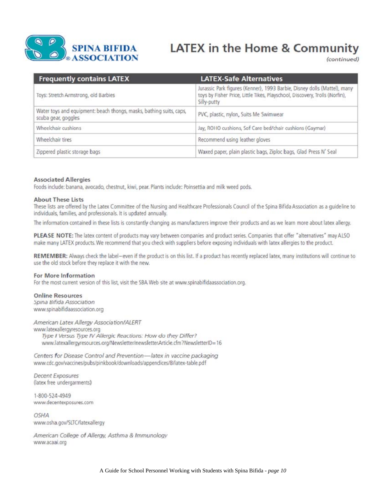

# **LATEX** in the Home & Community

(continued)

| <b>Frequently contains LATEX</b>                                                           | <b>LATEX-Safe Alternatives</b>                                                                                                                                         |
|--------------------------------------------------------------------------------------------|------------------------------------------------------------------------------------------------------------------------------------------------------------------------|
| Toys: Stretch Armstrong, old Barbies                                                       | Jurassic Park figures (Kenner), 1993 Barbie, Disney dolls (Mattel), many<br>toys by Fisher Price, Little Tikes, Playschool, Discovery, Trolls (Norfin),<br>Silly-putty |
| Water toys and equipment: beach thongs, masks, bathing suits, caps,<br>scuba gear, goggles | PVC, plastic, nylon, Suits Me Swimwear                                                                                                                                 |
| Wheelchair cushions                                                                        | Jay, ROHO cushions, Sof Care bed/chair cushions (Gaymar)                                                                                                               |
| Wheelchair tires                                                                           | Recommend using leather gloves                                                                                                                                         |
| Zippered plastic storage bags                                                              | Waxed paper, plain plastic bags, Ziploc bags, Glad Press N' Seal                                                                                                       |

#### **Associated Allergies**

Foods include: banana, avocado, chestnut, kiwi, pear. Plants include: Poinsettia and milk weed pods.

#### **About These Lists**

These lists are offered by the Latex Committee of the Nursing and Healthcare Professionals Council of the Spina Bifida Association as a guideline to individuals, families, and professionals. It is updated annually.

The information contained in these lists is constantly changing as manufacturers improve their products and as we learn more about latex allergy.

PLEASE NOTE: The latex content of products may vary between companies and product series. Companies that offer "alternatives" may ALSO make many LATEX products. We recommend that you check with suppliers before exposing individuals with latex allergies to the product.

REMEMBER: Always check the label-even if the product is on this list. If a product has recently replaced latex, many institutions will continue to use the old stock before they replace it with the new.

#### For More Information

For the most current version of this list, visit the SBA Web site at www.spinabifidaassociation.org.

**Online Resources** Spina Bifida Association www.spinabifidaassociation.org

American Latex Allergy Association/ALERT

www.latexallergyresources.org Type I Versus Type IV Allergic Reactions: How do they Differ? www.latexallergyresources.org/Newsletter/newsletter.Article.cfm?NewsletterID=16

Centers for Disease Control and Prevention-latex in vaccine packaging www.cdc.gov/vaccines/pubs/pinkbook/downloads/appendices/B/latex-table.pdf

**Decent Exposures** (latex free undergarments)

1-800-524-4949 www.decentexposures.com

**OSHA** www.osha.gov/SLTC/latexallergy

American College of Allergy, Asthma & Immunology www.acaai.org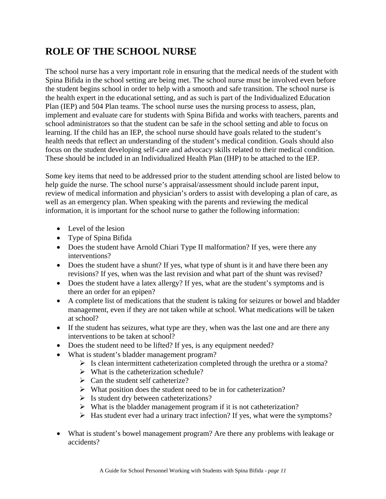# **ROLE OF THE SCHOOL NURSE**

The school nurse has a very important role in ensuring that the medical needs of the student with Spina Bifida in the school setting are being met. The school nurse must be involved even before the student begins school in order to help with a smooth and safe transition. The school nurse is the health expert in the educational setting, and as such is part of the Individualized Education Plan (IEP) and 504 Plan teams. The school nurse uses the nursing process to assess, plan, implement and evaluate care for students with Spina Bifida and works with teachers, parents and school administrators so that the student can be safe in the school setting and able to focus on learning. If the child has an IEP, the school nurse should have goals related to the student's health needs that reflect an understanding of the student's medical condition. Goals should also focus on the student developing self-care and advocacy skills related to their medical condition. These should be included in an Individualized Health Plan (IHP) to be attached to the IEP.

Some key items that need to be addressed prior to the student attending school are listed below to help guide the nurse. The school nurse's appraisal/assessment should include parent input, review of medical information and physician's orders to assist with developing a plan of care, as well as an emergency plan. When speaking with the parents and reviewing the medical information, it is important for the school nurse to gather the following information:

- Level of the lesion
- Type of Spina Bifida
- Does the student have Arnold Chiari Type II malformation? If yes, were there any interventions?
- Does the student have a shunt? If yes, what type of shunt is it and have there been any revisions? If yes, when was the last revision and what part of the shunt was revised?
- Does the student have a latex allergy? If yes, what are the student's symptoms and is there an order for an epipen?
- A complete list of medications that the student is taking for seizures or bowel and bladder management, even if they are not taken while at school. What medications will be taken at school?
- If the student has seizures, what type are they, when was the last one and are there any interventions to be taken at school?
- Does the student need to be lifted? If yes, is any equipment needed?
- What is student's bladder management program?
	- $\triangleright$  Is clean intermittent catheterization completed through the urethra or a stoma?
	- $\triangleright$  What is the catheterization schedule?
	- $\triangleright$  Can the student self catheterize?
	- $\triangleright$  What position does the student need to be in for catheterization?
	- $\triangleright$  Is student dry between catheterizations?
	- $\triangleright$  What is the bladder management program if it is not catheterization?
	- $\triangleright$  Has student ever had a urinary tract infection? If yes, what were the symptoms?
- What is student's bowel management program? Are there any problems with leakage or accidents?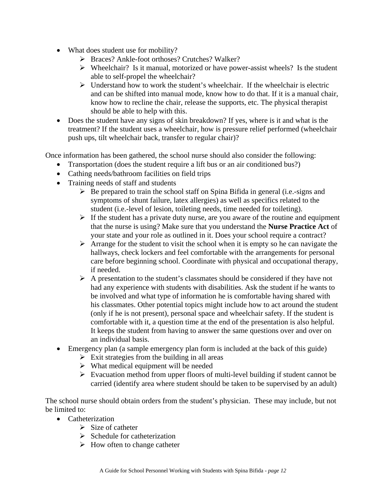- What does student use for mobility?
	- ¾ Braces? Ankle-foot orthoses? Crutches? Walker?
	- $\triangleright$  Wheelchair? Is it manual, motorized or have power-assist wheels? Is the student able to self-propel the wheelchair?
	- $\triangleright$  Understand how to work the student's wheelchair. If the wheelchair is electric and can be shifted into manual mode, know how to do that. If it is a manual chair, know how to recline the chair, release the supports, etc. The physical therapist should be able to help with this.
- Does the student have any signs of skin breakdown? If yes, where is it and what is the treatment? If the student uses a wheelchair, how is pressure relief performed (wheelchair push ups, tilt wheelchair back, transfer to regular chair)?

Once information has been gathered, the school nurse should also consider the following:

- Transportation (does the student require a lift bus or an air conditioned bus?)
- Cathing needs/bathroom facilities on field trips
- Training needs of staff and students
	- $\triangleright$  Be prepared to train the school staff on Spina Bifida in general (i.e.-signs and symptoms of shunt failure, latex allergies) as well as specifics related to the student (i.e.-level of lesion, toileting needs, time needed for toileting).
	- $\triangleright$  If the student has a private duty nurse, are you aware of the routine and equipment that the nurse is using? Make sure that you understand the **Nurse Practice Act** of your state and your role as outlined in it. Does your school require a contract?
	- $\triangleright$  Arrange for the student to visit the school when it is empty so he can navigate the hallways, check lockers and feel comfortable with the arrangements for personal care before beginning school. Coordinate with physical and occupational therapy, if needed.
	- $\triangleright$  A presentation to the student's classmates should be considered if they have not had any experience with students with disabilities. Ask the student if he wants to be involved and what type of information he is comfortable having shared with his classmates. Other potential topics might include how to act around the student (only if he is not present), personal space and wheelchair safety. If the student is comfortable with it, a question time at the end of the presentation is also helpful. It keeps the student from having to answer the same questions over and over on an individual basis.
- Emergency plan (a sample emergency plan form is included at the back of this guide)
	- $\triangleright$  Exit strategies from the building in all areas
	- $\triangleright$  What medical equipment will be needed
	- $\triangleright$  Evacuation method from upper floors of multi-level building if student cannot be carried (identify area where student should be taken to be supervised by an adult)

The school nurse should obtain orders from the student's physician. These may include, but not be limited to:

- Catheterization
	- $\triangleright$  Size of catheter
	- $\triangleright$  Schedule for catheterization
	- $\triangleright$  How often to change catheter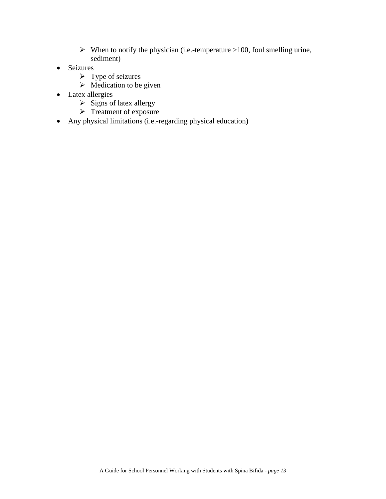- $\blacktriangleright$  When to notify the physician (i.e.-temperature >100, foul smelling urine, sediment)
- Seizures
	- $\triangleright$  Type of seizures
	- $\triangleright$  Medication to be given
- Latex allergies
	- $\triangleright$  Signs of latex allergy
	- $\triangleright$  Treatment of exposure
- Any physical limitations (i.e.-regarding physical education)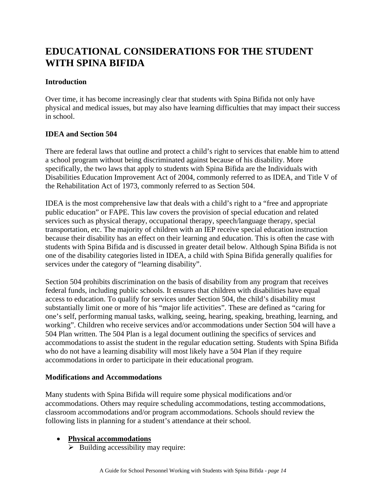# **EDUCATIONAL CONSIDERATIONS FOR THE STUDENT WITH SPINA BIFIDA**

#### **Introduction**

Over time, it has become increasingly clear that students with Spina Bifida not only have physical and medical issues, but may also have learning difficulties that may impact their success in school.

#### **IDEA and Section 504**

There are federal laws that outline and protect a child's right to services that enable him to attend a school program without being discriminated against because of his disability. More specifically, the two laws that apply to students with Spina Bifida are the Individuals with Disabilities Education Improvement Act of 2004, commonly referred to as IDEA, and Title V of the Rehabilitation Act of 1973, commonly referred to as Section 504.

IDEA is the most comprehensive law that deals with a child's right to a "free and appropriate public education" or FAPE. This law covers the provision of special education and related services such as physical therapy, occupational therapy, speech/language therapy, special transportation, etc. The majority of children with an IEP receive special education instruction because their disability has an effect on their learning and education. This is often the case with students with Spina Bifida and is discussed in greater detail below. Although Spina Bifida is not one of the disability categories listed in IDEA, a child with Spina Bifida generally qualifies for services under the category of "learning disability".

Section 504 prohibits discrimination on the basis of disability from any program that receives federal funds, including public schools. It ensures that children with disabilities have equal access to education. To qualify for services under Section 504, the child's disability must substantially limit one or more of his "major life activities". These are defined as "caring for one's self, performing manual tasks, walking, seeing, hearing, speaking, breathing, learning, and working". Children who receive services and/or accommodations under Section 504 will have a 504 Plan written. The 504 Plan is a legal document outlining the specifics of services and accommodations to assist the student in the regular education setting. Students with Spina Bifida who do not have a learning disability will most likely have a 504 Plan if they require accommodations in order to participate in their educational program.

#### **Modifications and Accommodations**

Many students with Spina Bifida will require some physical modifications and/or accommodations. Others may require scheduling accommodations, testing accommodations, classroom accommodations and/or program accommodations. Schools should review the following lists in planning for a student's attendance at their school.

#### • **Physical accommodations**

 $\triangleright$  Building accessibility may require: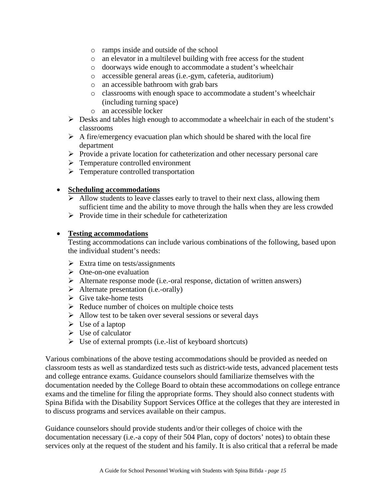- o ramps inside and outside of the school
- o an elevator in a multilevel building with free access for the student
- o doorways wide enough to accommodate a student's wheelchair
- o accessible general areas (i.e.-gym, cafeteria, auditorium)
- o an accessible bathroom with grab bars
- o classrooms with enough space to accommodate a student's wheelchair (including turning space)
- o an accessible locker
- $\triangleright$  Desks and tables high enough to accommodate a wheelchair in each of the student's classrooms
- $\triangleright$  A fire/emergency evacuation plan which should be shared with the local fire department
- ¾ Provide a private location for catheterization and other necessary personal care
- $\triangleright$  Temperature controlled environment
- $\triangleright$  Temperature controlled transportation

#### • **Scheduling accommodations**

- $\triangleright$  Allow students to leave classes early to travel to their next class, allowing them sufficient time and the ability to move through the halls when they are less crowded
- $\triangleright$  Provide time in their schedule for catheterization

#### • **Testing accommodations**

Testing accommodations can include various combinations of the following, based upon the individual student's needs:

- $\triangleright$  Extra time on tests/assignments
- $\triangleright$  One-on-one evaluation
- $\triangleright$  Alternate response mode (i.e.-oral response, dictation of written answers)
- $\triangleright$  Alternate presentation (i.e.-orally)
- $\triangleright$  Give take-home tests
- $\triangleright$  Reduce number of choices on multiple choice tests
- $\triangleright$  Allow test to be taken over several sessions or several days
- $\triangleright$  Use of a laptop
- $\triangleright$  Use of calculator
- $\triangleright$  Use of external prompts (i.e.-list of keyboard shortcuts)

Various combinations of the above testing accommodations should be provided as needed on classroom tests as well as standardized tests such as district-wide tests, advanced placement tests and college entrance exams. Guidance counselors should familiarize themselves with the documentation needed by the College Board to obtain these accommodations on college entrance exams and the timeline for filing the appropriate forms. They should also connect students with Spina Bifida with the Disability Support Services Office at the colleges that they are interested in to discuss programs and services available on their campus.

Guidance counselors should provide students and/or their colleges of choice with the documentation necessary (i.e.-a copy of their 504 Plan, copy of doctors' notes) to obtain these services only at the request of the student and his family. It is also critical that a referral be made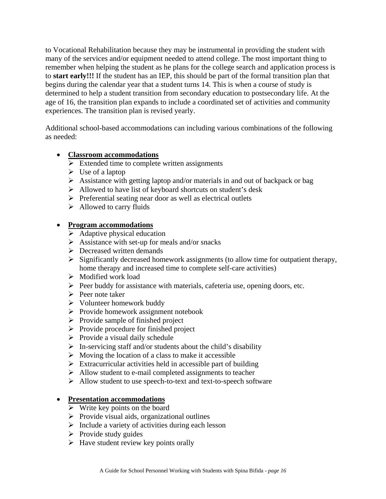to Vocational Rehabilitation because they may be instrumental in providing the student with many of the services and/or equipment needed to attend college. The most important thing to remember when helping the student as he plans for the college search and application process is to **start early!!!** If the student has an IEP, this should be part of the formal transition plan that begins during the calendar year that a student turns 14. This is when a course of study is determined to help a student transition from secondary education to postsecondary life. At the age of 16, the transition plan expands to include a coordinated set of activities and community experiences. The transition plan is revised yearly.

Additional school-based accommodations can including various combinations of the following as needed:

#### • **Classroom accommodations**

- $\triangleright$  Extended time to complete written assignments
- $\triangleright$  Use of a laptop
- $\triangleright$  Assistance with getting laptop and/or materials in and out of backpack or bag
- $\triangleright$  Allowed to have list of keyboard shortcuts on student's desk
- ¾ Preferential seating near door as well as electrical outlets
- $\triangleright$  Allowed to carry fluids

#### • **Program accommodations**

- $\triangleright$  Adaptive physical education
- $\triangleright$  Assistance with set-up for meals and/or snacks
- $\triangleright$  Decreased written demands
- $\triangleright$  Significantly decreased homework assignments (to allow time for outpatient therapy, home therapy and increased time to complete self-care activities)
- ¾ Modified work load
- $\triangleright$  Peer buddy for assistance with materials, cafeteria use, opening doors, etc.
- $\triangleright$  Peer note taker
- $\triangleright$  Volunteer homework buddy
- ¾ Provide homework assignment notebook
- $\triangleright$  Provide sample of finished project
- $\triangleright$  Provide procedure for finished project
- $\triangleright$  Provide a visual daily schedule
- $\triangleright$  In-servicing staff and/or students about the child's disability
- $\triangleright$  Moving the location of a class to make it accessible
- $\triangleright$  Extracurricular activities held in accessible part of building
- $\triangleright$  Allow student to e-mail completed assignments to teacher
- ¾ Allow student to use speech-to-text and text-to-speech software

#### • **Presentation accommodations**

- $\triangleright$  Write key points on the board
- $\triangleright$  Provide visual aids, organizational outlines
- $\triangleright$  Include a variety of activities during each lesson
- $\triangleright$  Provide study guides
- $\triangleright$  Have student review key points orally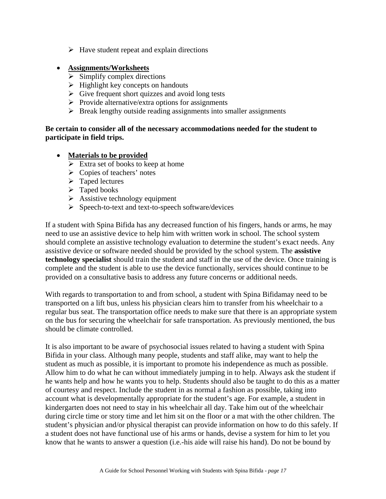$\triangleright$  Have student repeat and explain directions

#### • **Assignments/Worksheets**

- $\triangleright$  Simplify complex directions
- $\triangleright$  Highlight key concepts on handouts
- $\triangleright$  Give frequent short quizzes and avoid long tests
- $\triangleright$  Provide alternative/extra options for assignments
- $\triangleright$  Break lengthy outside reading assignments into smaller assignments

#### **Be certain to consider all of the necessary accommodations needed for the student to participate in field trips.**

#### • **Materials to be provided**

- $\triangleright$  Extra set of books to keep at home
- $\triangleright$  Copies of teachers' notes
- $\triangleright$  Taped lectures
- $\triangleright$  Taped books
- $\triangleright$  Assistive technology equipment
- ¾ Speech-to-text and text-to-speech software/devices

If a student with Spina Bifida has any decreased function of his fingers, hands or arms, he may need to use an assistive device to help him with written work in school. The school system should complete an assistive technology evaluation to determine the student's exact needs. Any assistive device or software needed should be provided by the school system. The **assistive technology specialist** should train the student and staff in the use of the device. Once training is complete and the student is able to use the device functionally, services should continue to be provided on a consultative basis to address any future concerns or additional needs.

With regards to transportation to and from school, a student with Spina Bifidamay need to be transported on a lift bus, unless his physician clears him to transfer from his wheelchair to a regular bus seat. The transportation office needs to make sure that there is an appropriate system on the bus for securing the wheelchair for safe transportation. As previously mentioned, the bus should be climate controlled.

It is also important to be aware of psychosocial issues related to having a student with Spina Bifida in your class. Although many people, students and staff alike, may want to help the student as much as possible, it is important to promote his independence as much as possible. Allow him to do what he can without immediately jumping in to help. Always ask the student if he wants help and how he wants you to help. Students should also be taught to do this as a matter of courtesy and respect. Include the student in as normal a fashion as possible, taking into account what is developmentally appropriate for the student's age. For example, a student in kindergarten does not need to stay in his wheelchair all day. Take him out of the wheelchair during circle time or story time and let him sit on the floor or a mat with the other children. The student's physician and/or physical therapist can provide information on how to do this safely. If a student does not have functional use of his arms or hands, devise a system for him to let you know that he wants to answer a question (i.e.-his aide will raise his hand). Do not be bound by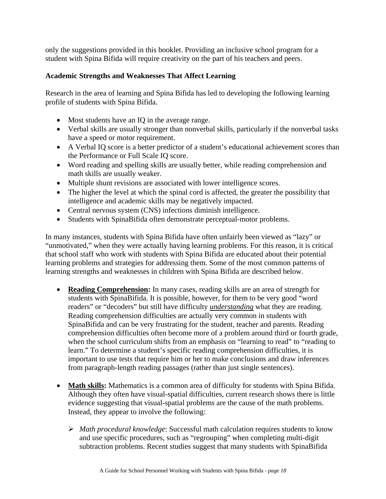only the suggestions provided in this booklet. Providing an inclusive school program for a student with Spina Bifida will require creativity on the part of his teachers and peers.

#### **Academic Strengths and Weaknesses That Affect Learning**

Research in the area of learning and Spina Bifida has led to developing the following learning profile of students with Spina Bifida.

- Most students have an IQ in the average range.
- Verbal skills are usually stronger than nonverbal skills, particularly if the nonverbal tasks have a speed or motor requirement.
- A Verbal IQ score is a better predictor of a student's educational achievement scores than the Performance or Full Scale IQ score.
- Word reading and spelling skills are usually better, while reading comprehension and math skills are usually weaker.
- Multiple shunt revisions are associated with lower intelligence scores.
- The higher the level at which the spinal cord is affected, the greater the possibility that intelligence and academic skills may be negatively impacted.
- Central nervous system (CNS) infections diminish intelligence.
- Students with SpinaBifida often demonstrate perceptual-motor problems.

In many instances, students with Spina Bifida have often unfairly been viewed as "lazy" or "unmotivated," when they were actually having learning problems. For this reason, it is critical that school staff who work with students with Spina Bifida are educated about their potential learning problems and strategies for addressing them. Some of the most common patterns of learning strengths and weaknesses in children with Spina Bifida are described below.

- **Reading Comprehension:** In many cases, reading skills are an area of strength for students with SpinaBifida. It is possible, however, for them to be very good "word readers" or "decoders" but still have difficulty *understanding* what they are reading. Reading comprehension difficulties are actually very common in students with SpinaBifida and can be very frustrating for the student, teacher and parents. Reading comprehension difficulties often become more of a problem around third or fourth grade, when the school curriculum shifts from an emphasis on "learning to read" to "reading to learn." To determine a student's specific reading comprehension difficulties, it is important to use tests that require him or her to make conclusions and draw inferences from paragraph-length reading passages (rather than just single sentences).
- **Math skills:** Mathematics is a common area of difficulty for students with Spina Bifida. Although they often have visual-spatial difficulties, current research shows there is little evidence suggesting that visual-spatial problems are the cause of the math problems. Instead, they appear to involve the following:
	- ¾ *Math procedural knowledge*: Successful math calculation requires students to know and use specific procedures, such as "regrouping" when completing multi-digit subtraction problems. Recent studies suggest that many students with SpinaBifida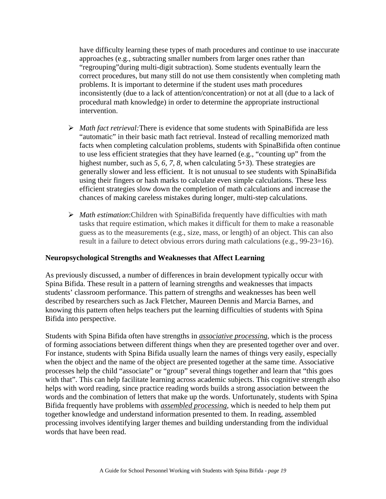have difficulty learning these types of math procedures and continue to use inaccurate approaches (e.g., subtracting smaller numbers from larger ones rather than "regrouping"during multi-digit subtraction). Some students eventually learn the correct procedures, but many still do not use them consistently when completing math problems. It is important to determine if the student uses math procedures inconsistently (due to a lack of attention/concentration) or not at all (due to a lack of procedural math knowledge) in order to determine the appropriate instructional intervention.

- ¾ *Math fact retrieval:*There is evidence that some students with SpinaBifida are less "automatic" in their basic math fact retrieval. Instead of recalling memorized math facts when completing calculation problems, students with SpinaBifida often continue to use less efficient strategies that they have learned (e.g., "counting up" from the highest number, such as 5, 6, 7, 8, when calculating 5+3). These strategies are generally slower and less efficient. It is not unusual to see students with SpinaBifida using their fingers or hash marks to calculate even simple calculations. These less efficient strategies slow down the completion of math calculations and increase the chances of making careless mistakes during longer, multi-step calculations.
- ¾ *Math estimation*:Children with SpinaBifida frequently have difficulties with math tasks that require estimation, which makes it difficult for them to make a reasonable guess as to the measurements (e.g., size, mass, or length) of an object. This can also result in a failure to detect obvious errors during math calculations (e.g., 99-23=16).

#### **Neuropsychological Strengths and Weaknesses that Affect Learning**

As previously discussed, a number of differences in brain development typically occur with Spina Bifida. These result in a pattern of learning strengths and weaknesses that impacts students' classroom performance. This pattern of strengths and weaknesses has been well described by researchers such as Jack Fletcher, Maureen Dennis and Marcia Barnes, and knowing this pattern often helps teachers put the learning difficulties of students with Spina Bifida into perspective.

Students with Spina Bifida often have strengths in *associative processing*, which is the process of forming associations between different things when they are presented together over and over. For instance, students with Spina Bifida usually learn the names of things very easily, especially when the object and the name of the object are presented together at the same time. Associative processes help the child "associate" or "group" several things together and learn that "this goes with that". This can help facilitate learning across academic subjects. This cognitive strength also helps with word reading, since practice reading words builds a strong association between the words and the combination of letters that make up the words. Unfortunately, students with Spina Bifida frequently have problems with *assembled processing*, which is needed to help them put together knowledge and understand information presented to them. In reading, assembled processing involves identifying larger themes and building understanding from the individual words that have been read.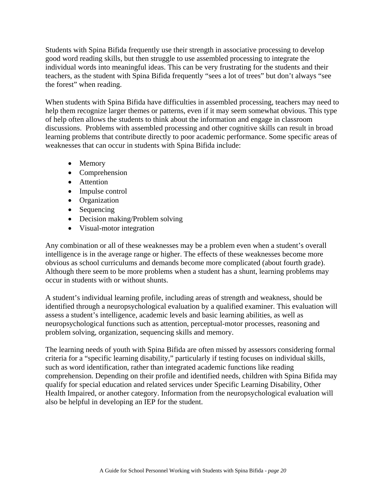Students with Spina Bifida frequently use their strength in associative processing to develop good word reading skills, but then struggle to use assembled processing to integrate the individual words into meaningful ideas. This can be very frustrating for the students and their teachers, as the student with Spina Bifida frequently "sees a lot of trees" but don't always "see the forest" when reading.

When students with Spina Bifida have difficulties in assembled processing, teachers may need to help them recognize larger themes or patterns, even if it may seem somewhat obvious. This type of help often allows the students to think about the information and engage in classroom discussions. Problems with assembled processing and other cognitive skills can result in broad learning problems that contribute directly to poor academic performance. Some specific areas of weaknesses that can occur in students with Spina Bifida include:

- Memory
- Comprehension
- Attention
- Impulse control
- Organization
- Sequencing
- Decision making/Problem solving
- Visual-motor integration

Any combination or all of these weaknesses may be a problem even when a student's overall intelligence is in the average range or higher. The effects of these weaknesses become more obvious as school curriculums and demands become more complicated (about fourth grade). Although there seem to be more problems when a student has a shunt, learning problems may occur in students with or without shunts.

A student's individual learning profile, including areas of strength and weakness, should be identified through a neuropsychological evaluation by a qualified examiner. This evaluation will assess a student's intelligence, academic levels and basic learning abilities, as well as neuropsychological functions such as attention, perceptual-motor processes, reasoning and problem solving, organization, sequencing skills and memory.

The learning needs of youth with Spina Bifida are often missed by assessors considering formal criteria for a "specific learning disability," particularly if testing focuses on individual skills, such as word identification, rather than integrated academic functions like reading comprehension. Depending on their profile and identified needs, children with Spina Bifida may qualify for special education and related services under Specific Learning Disability, Other Health Impaired, or another category. Information from the neuropsychological evaluation will also be helpful in developing an IEP for the student.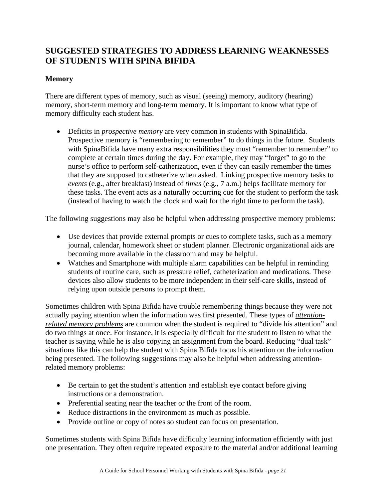## **SUGGESTED STRATEGIES TO ADDRESS LEARNING WEAKNESSES OF STUDENTS WITH SPINA BIFIDA**

#### **Memory**

There are different types of memory, such as visual (seeing) memory, auditory (hearing) memory, short-term memory and long-term memory. It is important to know what type of memory difficulty each student has.

• Deficits in *prospective memory* are very common in students with SpinaBifida. Prospective memory is "remembering to remember" to do things in the future. Students with SpinaBifida have many extra responsibilities they must "remember to remember" to complete at certain times during the day. For example, they may "forget" to go to the nurse's office to perform self-catherization, even if they can easily remember the times that they are supposed to catheterize when asked. Linking prospective memory tasks to *events* (e.g., after breakfast) instead of *times* (e.g., 7 a.m.) helps facilitate memory for these tasks. The event acts as a naturally occurring cue for the student to perform the task (instead of having to watch the clock and wait for the right time to perform the task).

The following suggestions may also be helpful when addressing prospective memory problems:

- Use devices that provide external prompts or cues to complete tasks, such as a memory journal, calendar, homework sheet or student planner. Electronic organizational aids are becoming more available in the classroom and may be helpful.
- Watches and Smartphone with multiple alarm capabilities can be helpful in reminding students of routine care, such as pressure relief, catheterization and medications. These devices also allow students to be more independent in their self-care skills, instead of relying upon outside persons to prompt them.

Sometimes children with Spina Bifida have trouble remembering things because they were not actually paying attention when the information was first presented. These types of *attentionrelated memory problems* are common when the student is required to "divide his attention" and do two things at once. For instance, it is especially difficult for the student to listen to what the teacher is saying while he is also copying an assignment from the board. Reducing "dual task" situations like this can help the student with Spina Bifida focus his attention on the information being presented. The following suggestions may also be helpful when addressing attentionrelated memory problems:

- Be certain to get the student's attention and establish eye contact before giving instructions or a demonstration.
- Preferential seating near the teacher or the front of the room.
- Reduce distractions in the environment as much as possible.
- Provide outline or copy of notes so student can focus on presentation.

Sometimes students with Spina Bifida have difficulty learning information efficiently with just one presentation. They often require repeated exposure to the material and/or additional learning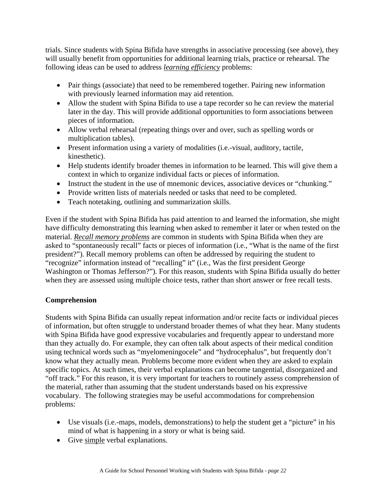trials. Since students with Spina Bifida have strengths in associative processing (see above), they will usually benefit from opportunities for additional learning trials, practice or rehearsal. The following ideas can be used to address *learning efficiency* problems:

- Pair things (associate) that need to be remembered together. Pairing new information with previously learned information may aid retention.
- Allow the student with Spina Bifida to use a tape recorder so he can review the material later in the day. This will provide additional opportunities to form associations between pieces of information.
- Allow verbal rehearsal (repeating things over and over, such as spelling words or multiplication tables).
- Present information using a variety of modalities (i.e.-visual, auditory, tactile, kinesthetic).
- Help students identify broader themes in information to be learned. This will give them a context in which to organize individual facts or pieces of information.
- Instruct the student in the use of mnemonic devices, associative devices or "chunking."
- Provide written lists of materials needed or tasks that need to be completed.
- Teach notetaking, outlining and summarization skills.

Even if the student with Spina Bifida has paid attention to and learned the information, she might have difficulty demonstrating this learning when asked to remember it later or when tested on the material. *Recall memory problems* are common in students with Spina Bifida when they are asked to "spontaneously recall" facts or pieces of information (i.e., "What is the name of the first president?"). Recall memory problems can often be addressed by requiring the student to "recognize" information instead of "recalling" it" (i.e., Was the first president George Washington or Thomas Jefferson?"). For this reason, students with Spina Bifida usually do better when they are assessed using multiple choice tests, rather than short answer or free recall tests.

#### **Comprehension**

Students with Spina Bifida can usually repeat information and/or recite facts or individual pieces of information, but often struggle to understand broader themes of what they hear. Many students with Spina Bifida have good expressive vocabularies and frequently appear to understand more than they actually do. For example, they can often talk about aspects of their medical condition using technical words such as "myelomeningocele" and "hydrocephalus", but frequently don't know what they actually mean. Problems become more evident when they are asked to explain specific topics. At such times, their verbal explanations can become tangential, disorganized and "off track." For this reason, it is very important for teachers to routinely assess comprehension of the material, rather than assuming that the student understands based on his expressive vocabulary. The following strategies may be useful accommodations for comprehension problems:

- Use visuals (i.e.-maps, models, demonstrations) to help the student get a "picture" in his mind of what is happening in a story or what is being said.
- Give simple verbal explanations.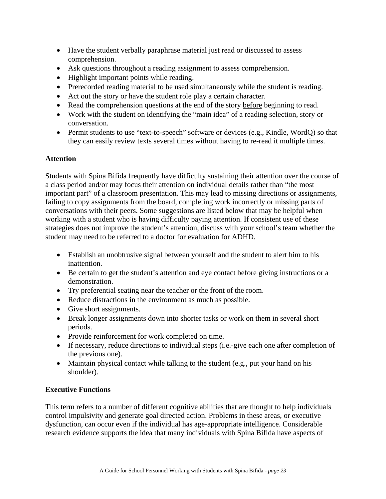- Have the student verbally paraphrase material just read or discussed to assess comprehension.
- Ask questions throughout a reading assignment to assess comprehension.
- Highlight important points while reading.
- Prerecorded reading material to be used simultaneously while the student is reading.
- Act out the story or have the student role play a certain character.
- Read the comprehension questions at the end of the story before beginning to read.
- Work with the student on identifying the "main idea" of a reading selection, story or conversation.
- Permit students to use "text-to-speech" software or devices (e.g., Kindle, WordQ) so that they can easily review texts several times without having to re-read it multiple times.

#### **Attention**

Students with Spina Bifida frequently have difficulty sustaining their attention over the course of a class period and/or may focus their attention on individual details rather than "the most important part" of a classroom presentation. This may lead to missing directions or assignments, failing to copy assignments from the board, completing work incorrectly or missing parts of conversations with their peers. Some suggestions are listed below that may be helpful when working with a student who is having difficulty paying attention. If consistent use of these strategies does not improve the student's attention, discuss with your school's team whether the student may need to be referred to a doctor for evaluation for ADHD.

- Establish an unobtrusive signal between yourself and the student to alert him to his inattention.
- Be certain to get the student's attention and eye contact before giving instructions or a demonstration.
- Try preferential seating near the teacher or the front of the room.
- Reduce distractions in the environment as much as possible.
- Give short assignments.
- Break longer assignments down into shorter tasks or work on them in several short periods.
- Provide reinforcement for work completed on time.
- If necessary, reduce directions to individual steps (i.e.-give each one after completion of the previous one).
- Maintain physical contact while talking to the student (e.g., put your hand on his shoulder).

#### **Executive Functions**

This term refers to a number of different cognitive abilities that are thought to help individuals control impulsivity and generate goal directed action. Problems in these areas, or executive dysfunction, can occur even if the individual has age-appropriate intelligence. Considerable research evidence supports the idea that many individuals with Spina Bifida have aspects of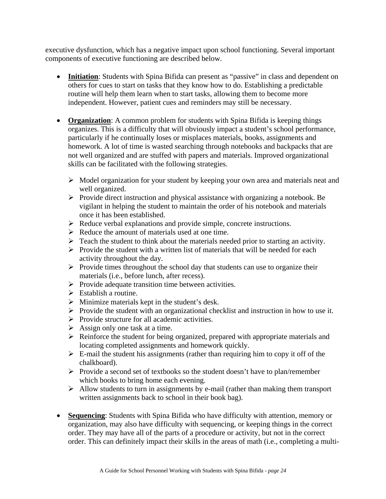executive dysfunction, which has a negative impact upon school functioning. Several important components of executive functioning are described below.

- **Initiation**: Students with Spina Bifida can present as "passive" in class and dependent on others for cues to start on tasks that they know how to do. Establishing a predictable routine will help them learn when to start tasks, allowing them to become more independent. However, patient cues and reminders may still be necessary.
- **Organization**: A common problem for students with Spina Bifida is keeping things organizes. This is a difficulty that will obviously impact a student's school performance, particularly if he continually loses or misplaces materials, books, assignments and homework. A lot of time is wasted searching through notebooks and backpacks that are not well organized and are stuffed with papers and materials. Improved organizational skills can be facilitated with the following strategies.
	- $\triangleright$  Model organization for your student by keeping your own area and materials neat and well organized.
	- ¾ Provide direct instruction and physical assistance with organizing a notebook. Be vigilant in helping the student to maintain the order of his notebook and materials once it has been established.
	- $\triangleright$  Reduce verbal explanations and provide simple, concrete instructions.
	- $\triangleright$  Reduce the amount of materials used at one time.
	- $\triangleright$  Teach the student to think about the materials needed prior to starting an activity.
	- $\triangleright$  Provide the student with a written list of materials that will be needed for each activity throughout the day.
	- $\triangleright$  Provide times throughout the school day that students can use to organize their materials (i.e., before lunch, after recess).
	- $\triangleright$  Provide adequate transition time between activities.
	- $\triangleright$  Establish a routine.
	- $\triangleright$  Minimize materials kept in the student's desk.
	- $\triangleright$  Provide the student with an organizational checklist and instruction in how to use it.
	- $\triangleright$  Provide structure for all academic activities.
	- $\triangleright$  Assign only one task at a time.
	- $\triangleright$  Reinforce the student for being organized, prepared with appropriate materials and locating completed assignments and homework quickly.
	- $\triangleright$  E-mail the student his assignments (rather than requiring him to copy it off of the chalkboard).
	- $\triangleright$  Provide a second set of textbooks so the student doesn't have to plan/remember which books to bring home each evening.
	- $\triangleright$  Allow students to turn in assignments by e-mail (rather than making them transport written assignments back to school in their book bag).
- **Sequencing**: Students with Spina Bifida who have difficulty with attention, memory or organization, may also have difficulty with sequencing, or keeping things in the correct order. They may have all of the parts of a procedure or activity, but not in the correct order. This can definitely impact their skills in the areas of math (i.e., completing a multi-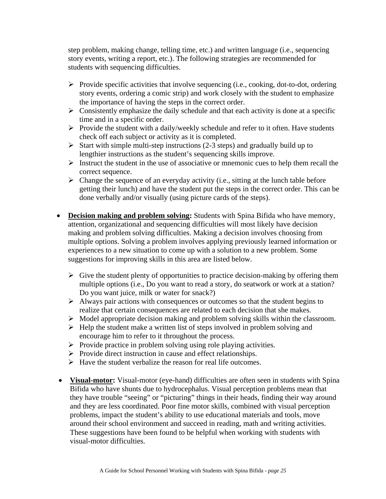step problem, making change, telling time, etc.) and written language (i.e., sequencing story events, writing a report, etc.). The following strategies are recommended for students with sequencing difficulties.

- $\triangleright$  Provide specific activities that involve sequencing (i.e., cooking, dot-to-dot, ordering story events, ordering a comic strip) and work closely with the student to emphasize the importance of having the steps in the correct order.
- $\triangleright$  Consistently emphasize the daily schedule and that each activity is done at a specific time and in a specific order.
- $\triangleright$  Provide the student with a daily/weekly schedule and refer to it often. Have students check off each subject or activity as it is completed.
- $\triangleright$  Start with simple multi-step instructions (2-3 steps) and gradually build up to lengthier instructions as the student's sequencing skills improve.
- $\triangleright$  Instruct the student in the use of associative or mnemonic cues to help them recall the correct sequence.
- $\triangleright$  Change the sequence of an everyday activity (i.e., sitting at the lunch table before getting their lunch) and have the student put the steps in the correct order. This can be done verbally and/or visually (using picture cards of the steps).
- **Decision making and problem solving:** Students with Spina Bifida who have memory, attention, organizational and sequencing difficulties will most likely have decision making and problem solving difficulties. Making a decision involves choosing from multiple options. Solving a problem involves applying previously learned information or experiences to a new situation to come up with a solution to a new problem. Some suggestions for improving skills in this area are listed below.
	- $\triangleright$  Give the student plenty of opportunities to practice decision-making by offering them multiple options (i.e., Do you want to read a story, do seatwork or work at a station? Do you want juice, milk or water for snack?)
	- $\triangleright$  Always pair actions with consequences or outcomes so that the student begins to realize that certain consequences are related to each decision that she makes.
	- $\triangleright$  Model appropriate decision making and problem solving skills within the classroom.
	- $\triangleright$  Help the student make a written list of steps involved in problem solving and encourage him to refer to it throughout the process.
	- $\triangleright$  Provide practice in problem solving using role playing activities.
	- $\triangleright$  Provide direct instruction in cause and effect relationships.
	- $\triangleright$  Have the student verbalize the reason for real life outcomes.
- **Visual-motor:** Visual-motor (eye-hand) difficulties are often seen in students with Spina Bifida who have shunts due to hydrocephalus. Visual perception problems mean that they have trouble "seeing" or "picturing" things in their heads, finding their way around and they are less coordinated. Poor fine motor skills, combined with visual perception problems, impact the student's ability to use educational materials and tools, move around their school environment and succeed in reading, math and writing activities. These suggestions have been found to be helpful when working with students with visual-motor difficulties.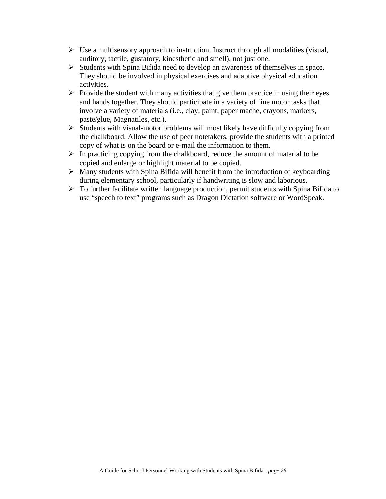- $\triangleright$  Use a multisensory approach to instruction. Instruct through all modalities (visual, auditory, tactile, gustatory, kinesthetic and smell), not just one.
- $\triangleright$  Students with Spina Bifida need to develop an awareness of themselves in space. They should be involved in physical exercises and adaptive physical education activities.
- $\triangleright$  Provide the student with many activities that give them practice in using their eyes and hands together. They should participate in a variety of fine motor tasks that involve a variety of materials (i.e., clay, paint, paper mache, crayons, markers, paste/glue, Magnatiles, etc.).
- $\triangleright$  Students with visual-motor problems will most likely have difficulty copying from the chalkboard. Allow the use of peer notetakers, provide the students with a printed copy of what is on the board or e-mail the information to them.
- $\triangleright$  In practicing copying from the chalkboard, reduce the amount of material to be copied and enlarge or highlight material to be copied.
- $\triangleright$  Many students with Spina Bifida will benefit from the introduction of keyboarding during elementary school, particularly if handwriting is slow and laborious.
- $\triangleright$  To further facilitate written language production, permit students with Spina Bifida to use "speech to text" programs such as Dragon Dictation software or WordSpeak.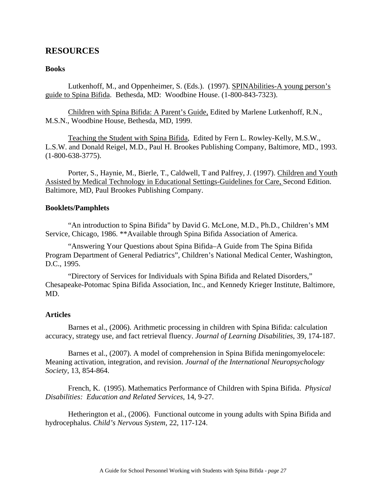#### **RESOURCES**

#### **Books**

 Lutkenhoff, M., and Oppenheimer, S. (Eds.). (1997). SPINAbilities-A young person's guide to Spina Bifida. Bethesda, MD: Woodbine House. (1-800-843-7323).

Children with Spina Bifida: A Parent's Guide, Edited by Marlene Lutkenhoff, R.N., M.S.N., Woodbine House, Bethesda, MD, 1999.

 Teaching the Student with Spina Bifida, Edited by Fern L. Rowley-Kelly, M.S.W., L.S.W. and Donald Reigel, M.D., Paul H. Brookes Publishing Company, Baltimore, MD., 1993. (1-800-638-3775).

 Porter, S., Haynie, M., Bierle, T., Caldwell, T and Palfrey, J. (1997). Children and Youth Assisted by Medical Technology in Educational Settings-Guidelines for Care, Second Edition. Baltimore, MD, Paul Brookes Publishing Company.

#### **Booklets/Pamphlets**

 "An introduction to Spina Bifida" by David G. McLone, M.D., Ph.D., Children's MM Service, Chicago, 1986. \*\*Available through Spina Bifida Association of America.

 "Answering Your Questions about Spina Bifida–A Guide from The Spina Bifida Program Department of General Pediatrics", Children's National Medical Center, Washington, D.C., 1995.

 "Directory of Services for Individuals with Spina Bifida and Related Disorders," Chesapeake-Potomac Spina Bifida Association, Inc., and Kennedy Krieger Institute, Baltimore, MD.

#### **Articles**

Barnes et al., (2006). Arithmetic processing in children with Spina Bifida: calculation accuracy, strategy use, and fact retrieval fluency. *Journal of Learning Disabilities*, 39, 174-187.

Barnes et al., (2007). A model of comprehension in Spina Bifida meningomyelocele: Meaning activation, integration, and revision. *Journal of the International Neuropsychology Society*, 13, 854-864.

French, K. (1995). Mathematics Performance of Children with Spina Bifida. *Physical Disabilities: Education and Related Services*, 14, 9-27.

Hetherington et al., (2006). Functional outcome in young adults with Spina Bifida and hydrocephalus. *Child's Nervous System*, 22, 117-124.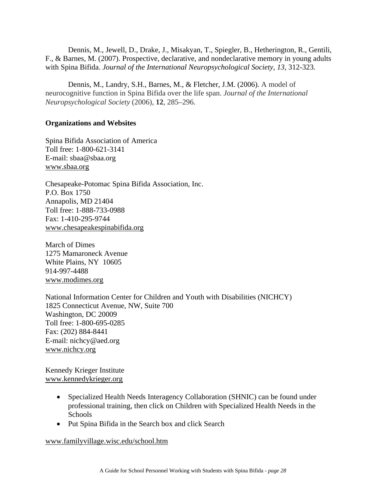Dennis, M., Jewell, D., Drake, J., Misakyan, T., Spiegler, B., Hetherington, R., Gentili, F., & Barnes, M. (2007). Prospective, declarative, and nondeclarative memory in young adults with Spina Bifida. *Journal of the International Neuropsychological Society, 13*, 312-323.

Dennis, M., Landry, S.H., Barnes, M., & Fletcher, J.M. (2006). A model of neurocognitive function in Spina Bifida over the life span. *Journal of the International Neuropsychological Society* (2006), **12**, 285–296.

#### **Organizations and Websites**

Spina Bifida Association of America Toll free: 1-800-621-3141 E-mail: sbaa@sbaa.org www.sbaa.org

Chesapeake-Potomac Spina Bifida Association, Inc. P.O. Box 1750 Annapolis, MD 21404 Toll free: 1-888-733-0988 Fax: 1-410-295-9744 www.chesapeakespinabifida.org

March of Dimes 1275 Mamaroneck Avenue White Plains, NY 10605 914-997-4488 www.modimes.org

National Information Center for Children and Youth with Disabilities (NICHCY) 1825 Connecticut Avenue, NW, Suite 700 Washington, DC 20009 Toll free: 1-800-695-0285 Fax: (202) 884-8441 E-mail: nichcy@aed.org www.nichcy.org

Kennedy Krieger Institute www.kennedykrieger.org

- Specialized Health Needs Interagency Collaboration (SHNIC) can be found under professional training, then click on Children with Specialized Health Needs in the Schools
- Put Spina Bifida in the Search box and click Search

www.familyvillage.wisc.edu/school.htm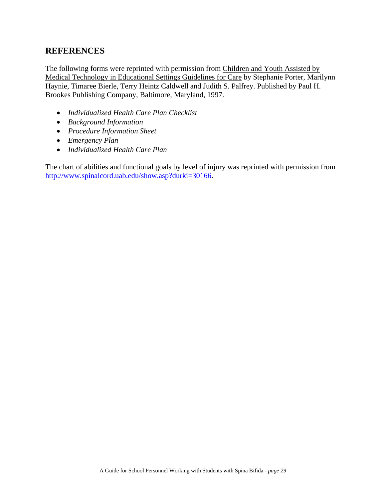#### **REFERENCES**

The following forms were reprinted with permission from Children and Youth Assisted by Medical Technology in Educational Settings Guidelines for Care by Stephanie Porter, Marilynn Haynie, Timaree Bierle, Terry Heintz Caldwell and Judith S. Palfrey. Published by Paul H. Brookes Publishing Company, Baltimore, Maryland, 1997.

- *Individualized Health Care Plan Checklist*
- *Background Information*
- *Procedure Information Sheet*
- *Emergency Plan*
- *Individualized Health Care Plan*

The chart of abilities and functional goals by level of injury was reprinted with permission from http://www.spinalcord.uab.edu/show.asp?durki=30166.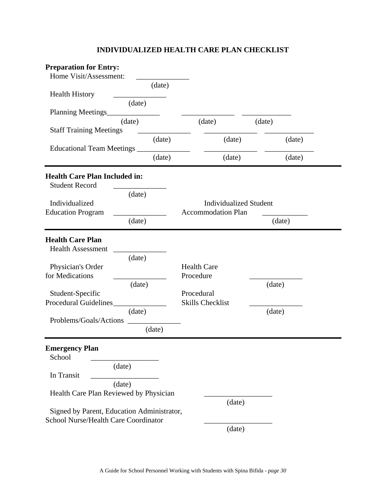#### **INDIVIDUALIZED HEALTH CARE PLAN CHECKLIST**

| <b>Preparation for Entry:</b><br>Home Visit/Assessment: |        |                                                            |        |        |  |
|---------------------------------------------------------|--------|------------------------------------------------------------|--------|--------|--|
|                                                         | (date) |                                                            |        |        |  |
| <b>Health History</b>                                   |        |                                                            |        |        |  |
| <b>Planning Meetings_</b>                               | (date) |                                                            |        |        |  |
|                                                         | (date) | (date)                                                     | (date) |        |  |
| <b>Staff Training Meetings</b>                          |        |                                                            |        |        |  |
| <b>Educational Team Meetings</b>                        | (date) | (date)                                                     |        | (date) |  |
|                                                         | (date) | (date)                                                     |        | (date) |  |
| <b>Health Care Plan Included in:</b>                    |        |                                                            |        |        |  |
| <b>Student Record</b>                                   |        |                                                            |        |        |  |
| Individualized                                          | (date) |                                                            |        |        |  |
| <b>Education Program</b>                                |        | <b>Individualized Student</b><br><b>Accommodation Plan</b> |        |        |  |
|                                                         | (date) |                                                            |        | (date) |  |
| <b>Health Care Plan</b>                                 |        |                                                            |        |        |  |
| <b>Health Assessment</b>                                |        |                                                            |        |        |  |
|                                                         | (date) |                                                            |        |        |  |
| Physician's Order                                       |        | <b>Health Care</b>                                         |        |        |  |
| for Medications                                         |        | Procedure                                                  |        |        |  |
| Student-Specific                                        | (date) | Procedural                                                 |        | (date) |  |
| Procedural Guidelines                                   |        | <b>Skills Checklist</b>                                    |        |        |  |
|                                                         | (date) |                                                            |        | (date) |  |
| Problems/Goals/Actions                                  |        |                                                            |        |        |  |
|                                                         | (date) |                                                            |        |        |  |
| <b>Emergency Plan</b><br>School                         |        |                                                            |        |        |  |
|                                                         | (date) |                                                            |        |        |  |
| In Transit                                              |        |                                                            |        |        |  |
|                                                         | (date) |                                                            |        |        |  |
| Health Care Plan Reviewed by Physician                  |        |                                                            |        |        |  |
| Signed by Parent, Education Administrator,              |        |                                                            | (date) |        |  |
| School Nurse/Health Care Coordinator                    |        |                                                            |        |        |  |
|                                                         |        |                                                            | (date) |        |  |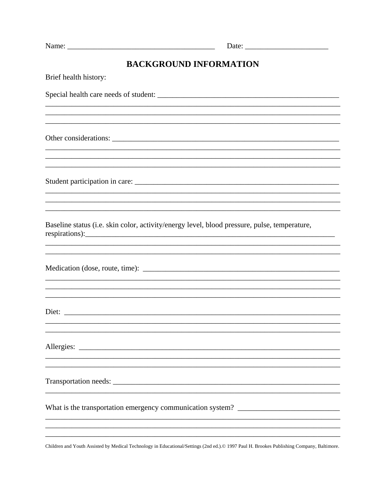| Name: |  |
|-------|--|

# BACKGROUND INFORMATION

| Brief health history:                                                                                                                                                               |
|-------------------------------------------------------------------------------------------------------------------------------------------------------------------------------------|
|                                                                                                                                                                                     |
|                                                                                                                                                                                     |
|                                                                                                                                                                                     |
| ,我们也不能在这里的时候,我们也不能在这里的时候,我们也不能会在这里的时候,我们也不能会在这里的时候,我们也不能会在这里的时候,我们也不能会在这里的时候,我们也不<br>,我们也不能在这里的时候,我们也不能在这里的时候,我们也不能会在这里的时候,我们也不能会在这里的时候,我们也不能会在这里的时候,我们也不能会在这里的时候,我们也不              |
| Baseline status (i.e. skin color, activity/energy level, blood pressure, pulse, temperature,<br>respirations): $\frac{1}{\sqrt{1-\frac{1}{2}}\left(\frac{1}{2}-\frac{1}{2}\right)}$ |
|                                                                                                                                                                                     |
| ,我们也不能在这里的时候,我们也不能在这里的时候,我们也不能会在这里的时候,我们也不能会在这里的时候,我们也不能会在这里的时候,我们也不能会在这里的时候,我们也不                                                                                                   |
| Allergies:                                                                                                                                                                          |
|                                                                                                                                                                                     |
| What is the transportation emergency communication system? _____________________                                                                                                    |
|                                                                                                                                                                                     |

Children and Youth Assisted by Medical Technology in Educational/Settings (2nd ed.).© 1997 Paul H. Brookes Publishing Company, Baltimore.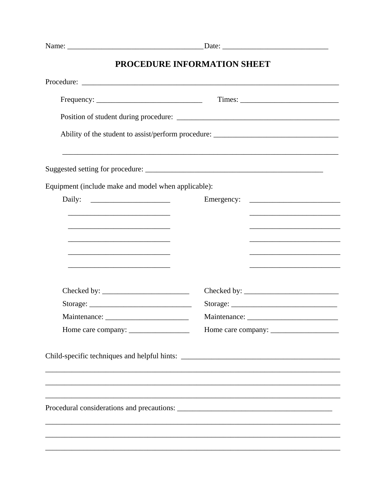| Name: |  |
|-------|--|
|       |  |

# PROCEDURE INFORMATION SHEET

|                                                                                                                      | Ability of the student to assist/perform procedure: _____________________________         |
|----------------------------------------------------------------------------------------------------------------------|-------------------------------------------------------------------------------------------|
|                                                                                                                      |                                                                                           |
| Equipment (include make and model when applicable):                                                                  |                                                                                           |
| Daily: $\qquad \qquad$                                                                                               | Emergency:                                                                                |
|                                                                                                                      | the control of the control of the control of the control of the control of the control of |
|                                                                                                                      |                                                                                           |
| <u> 1989 - Johann Stein, marwolaethau a bhann an t-Amhair an t-Amhair an t-Amhair an t-Amhair an t-Amhair an t-A</u> |                                                                                           |
|                                                                                                                      |                                                                                           |
| the control of the control of the control of the control of the control of the control of                            |                                                                                           |
|                                                                                                                      |                                                                                           |
|                                                                                                                      |                                                                                           |
|                                                                                                                      |                                                                                           |
|                                                                                                                      |                                                                                           |
|                                                                                                                      |                                                                                           |
|                                                                                                                      |                                                                                           |
|                                                                                                                      |                                                                                           |
|                                                                                                                      |                                                                                           |
| Procedural considerations and precautions:                                                                           |                                                                                           |
|                                                                                                                      |                                                                                           |
|                                                                                                                      |                                                                                           |
|                                                                                                                      |                                                                                           |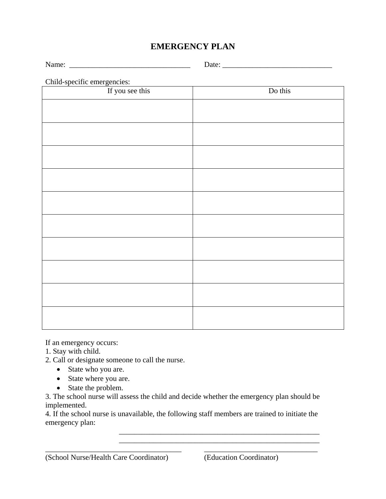## **EMERGENCY PLAN**

Name: \_\_\_\_\_\_\_\_\_\_\_\_\_\_\_\_\_\_\_\_\_\_\_\_\_\_\_\_\_\_\_\_ Date: \_\_\_\_\_\_\_\_\_\_\_\_\_\_\_\_\_\_\_\_\_\_\_\_\_\_\_\_\_

#### Child-specific emergencies:

| If you see this | Do this |
|-----------------|---------|
|                 |         |
|                 |         |
|                 |         |
|                 |         |
|                 |         |
|                 |         |
|                 |         |
|                 |         |
|                 |         |
|                 |         |
|                 |         |
|                 |         |
|                 |         |
|                 |         |
|                 |         |
|                 |         |
|                 |         |
|                 |         |
|                 |         |

If an emergency occurs:

1. Stay with child.

- 2. Call or designate someone to call the nurse.
	- State who you are.
	- State where you are.
	- State the problem.

3. The school nurse will assess the child and decide whether the emergency plan should be implemented.

4. If the school nurse is unavailable, the following staff members are trained to initiate the emergency plan:

 $\overline{\phantom{a}}$  ,  $\overline{\phantom{a}}$  ,  $\overline{\phantom{a}}$  ,  $\overline{\phantom{a}}$  ,  $\overline{\phantom{a}}$  ,  $\overline{\phantom{a}}$  ,  $\overline{\phantom{a}}$  ,  $\overline{\phantom{a}}$  ,  $\overline{\phantom{a}}$  ,  $\overline{\phantom{a}}$  ,  $\overline{\phantom{a}}$  ,  $\overline{\phantom{a}}$  ,  $\overline{\phantom{a}}$  ,  $\overline{\phantom{a}}$  ,  $\overline{\phantom{a}}$  ,  $\overline{\phantom{a}}$ \_\_\_\_\_\_\_\_\_\_\_\_\_\_\_\_\_\_\_\_\_\_\_\_\_\_\_\_\_\_\_\_\_\_\_\_ \_\_\_\_\_\_\_\_\_\_\_\_\_\_\_\_\_\_\_\_\_\_\_\_\_\_\_\_\_\_

#### (School Nurse/Health Care Coordinator) (Education Coordinator)

\_\_\_\_\_\_\_\_\_\_\_\_\_\_\_\_\_\_\_\_\_\_\_\_\_\_\_\_\_\_\_\_\_\_\_\_\_\_\_\_\_\_\_\_\_\_\_\_\_\_\_\_\_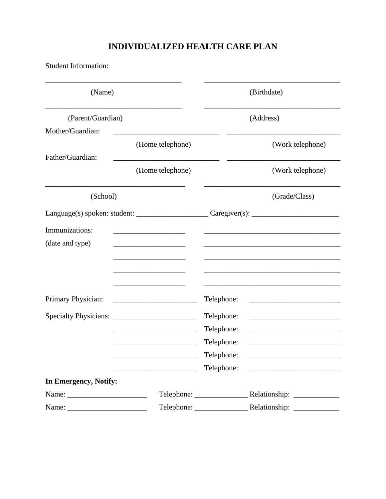# INDIVIDUALIZED HEALTH CARE PLAN

Student Information:

| (Name)                       |                                                                                                                     |                                                                          | (Birthdate)                                         |
|------------------------------|---------------------------------------------------------------------------------------------------------------------|--------------------------------------------------------------------------|-----------------------------------------------------|
| (Parent/Guardian)            |                                                                                                                     | (Address)                                                                |                                                     |
| Mother/Guardian:             |                                                                                                                     |                                                                          |                                                     |
|                              | (Home telephone)                                                                                                    |                                                                          |                                                     |
| Father/Guardian:             | (Home telephone)                                                                                                    |                                                                          | (Work telephone)                                    |
| (School)                     |                                                                                                                     | (Grade/Class)                                                            |                                                     |
|                              |                                                                                                                     | $Language(s) spoken: student: ____________$ $Caregiver(s): ____________$ |                                                     |
| Immunizations:               | <u> 1980 - Johann Barbara, martin a</u>                                                                             |                                                                          |                                                     |
| (date and type)              |                                                                                                                     |                                                                          |                                                     |
|                              |                                                                                                                     |                                                                          |                                                     |
|                              |                                                                                                                     |                                                                          |                                                     |
| Primary Physician:           | <u> 1989 - Johann John Stoff, deutscher Stoffen und der Stoffen und der Stoffen und der Stoffen und der Stoffen</u> | Telephone:                                                               |                                                     |
| <b>Specialty Physicians:</b> | <u> 1989 - Johann Barbara, martin di</u>                                                                            | Telephone:                                                               | <u> 1980 - Johann Barbara, martxa alemaniar a</u>   |
|                              |                                                                                                                     | Telephone:                                                               | <u> 1989 - Johann Barbara, martxa alemaniar arg</u> |
|                              |                                                                                                                     | Telephone:                                                               |                                                     |
|                              |                                                                                                                     | Telephone:                                                               | <u> 1989 - Johann Barn, mars eta inperiodo</u>      |
|                              |                                                                                                                     | Telephone:                                                               |                                                     |
| In Emergency, Notify:        |                                                                                                                     |                                                                          |                                                     |
|                              |                                                                                                                     |                                                                          |                                                     |
|                              |                                                                                                                     |                                                                          |                                                     |